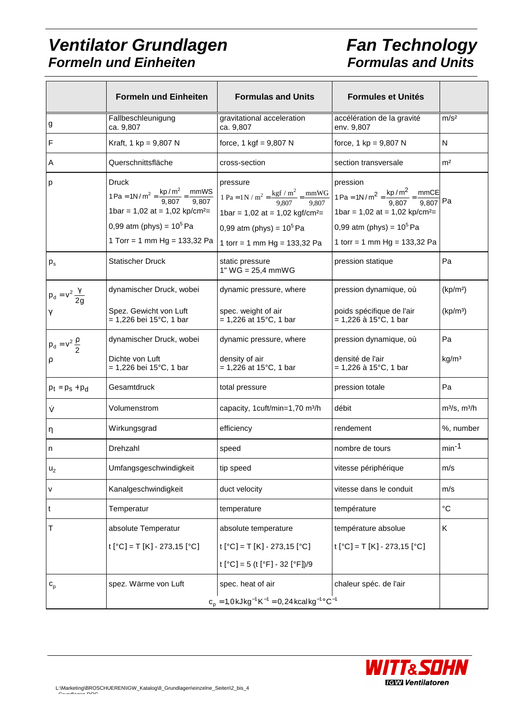#### **Ventilator Grundlagen Formeln und Einheiten**

# **Fan Technology Formulas and Units**

|                               | <b>Formeln und Einheiten</b>                                                                                                    | <b>Formulas and Units</b>                                                                                                                                                                                                                                                                                           | <b>Formules et Unités</b>                                                                                                                                                                                                        |                                              |
|-------------------------------|---------------------------------------------------------------------------------------------------------------------------------|---------------------------------------------------------------------------------------------------------------------------------------------------------------------------------------------------------------------------------------------------------------------------------------------------------------------|----------------------------------------------------------------------------------------------------------------------------------------------------------------------------------------------------------------------------------|----------------------------------------------|
| g                             | Fallbeschleunigung<br>ca. 9,807                                                                                                 | gravitational acceleration<br>ca. 9,807                                                                                                                                                                                                                                                                             | accélération de la gravité<br>env. 9,807                                                                                                                                                                                         | m/s <sup>2</sup>                             |
| F                             | Kraft, 1 kp = $9,807$ N                                                                                                         | force, $1 \text{ kgf} = 9,807 \text{ N}$                                                                                                                                                                                                                                                                            | force, $1 \text{ kp} = 9,807 \text{ N}$                                                                                                                                                                                          | N                                            |
| Α                             | Querschnittsfläche                                                                                                              | cross-section                                                                                                                                                                                                                                                                                                       | section transversale                                                                                                                                                                                                             | m <sup>2</sup>                               |
| р                             | <b>Druck</b><br>1bar = $1,02$ at = $1,02$ kp/cm <sup>2</sup> =<br>0,99 atm (phys) = $10^5$ Pa<br>1 Torr = 1 mm Hg = $133,32$ Pa | pressure<br>$1\text{ Pa} = 1\text{N/m}^2 = \frac{\text{kp/m}^2}{9,807} = \frac{\text{mmWS}}{9,807}$<br>$1\text{ Pa} = 1\text{N/m}^2 = \frac{\text{kgf/m}^2}{9,807} = \frac{\text{mmWG}}{9,807}$<br>1bar = $1,02$ at = $1,02$ kgf/cm <sup>2</sup> =<br>0,99 atm (phys) = $10^5$ Pa<br>1 torr = 1 mm Hg = $133,32$ Pa | pression<br>$1\text{ Pa} = 1\text{N/m}^2 = \frac{\text{kp/m}^2}{9.807} = \frac{\text{mmCE}}{9.807} \text{Pa}$<br>1bar = $1,02$ at = $1,02$ kp/cm <sup>2</sup> =<br>0,99 atm (phys) = $10^5$ Pa<br>1 torr = 1 mm Hg = $133,32$ Pa |                                              |
| $p_{s}$                       | <b>Statischer Druck</b>                                                                                                         | static pressure<br>1" $WG = 25,4$ mmWG                                                                                                                                                                                                                                                                              | pression statique                                                                                                                                                                                                                | Pa                                           |
| $p_d = v^2 \frac{\gamma}{2q}$ | dynamischer Druck, wobei<br>Spez. Gewicht von Luft<br>$= 1,226$ bei 15°C, 1 bar                                                 | dynamic pressure, where<br>spec. weight of air<br>$= 1,226$ at 15°C, 1 bar                                                                                                                                                                                                                                          | pression dynamique, où<br>poids spécifique de l'air<br>$= 1,226$ à 15°C, 1 bar                                                                                                                                                   | (kp/m <sup>2</sup> )<br>(kp/m <sup>3</sup> ) |
| $p_d = v^2 \frac{\rho}{2}$    | dynamischer Druck, wobei<br>Dichte von Luft<br>$= 1,226$ bei 15°C, 1 bar                                                        | dynamic pressure, where<br>density of air<br>$= 1,226$ at 15°C, 1 bar                                                                                                                                                                                                                                               | pression dynamique, où<br>densité de l'air<br>= 1,226 à 15°C, 1 bar                                                                                                                                                              | Pa<br>kg/m <sup>3</sup>                      |
| $p_t = p_s + p_d$             | Gesamtdruck                                                                                                                     | total pressure                                                                                                                                                                                                                                                                                                      | pression totale                                                                                                                                                                                                                  | Pa                                           |
| ý                             | Volumenstrom                                                                                                                    | capacity, 1 cuft/min=1,70 m <sup>3</sup> /h                                                                                                                                                                                                                                                                         | débit                                                                                                                                                                                                                            | $m^3/s$ , $m^3/h$                            |
| η                             | Wirkungsgrad                                                                                                                    | efficiency                                                                                                                                                                                                                                                                                                          | rendement                                                                                                                                                                                                                        | %, number                                    |
| n                             | Drehzahl                                                                                                                        | speed                                                                                                                                                                                                                                                                                                               | nombre de tours                                                                                                                                                                                                                  | $min-1$                                      |
| u <sub>2</sub>                | Umfangsgeschwindigkeit                                                                                                          | tip speed                                                                                                                                                                                                                                                                                                           | vitesse périphérique                                                                                                                                                                                                             | m/s                                          |
| v                             | Kanalgeschwindigkeit                                                                                                            | duct velocity                                                                                                                                                                                                                                                                                                       | vitesse dans le conduit                                                                                                                                                                                                          | m/s                                          |
| t                             | Temperatur                                                                                                                      | temperature                                                                                                                                                                                                                                                                                                         | température                                                                                                                                                                                                                      | $^{\circ}C$                                  |
| Τ                             | absolute Temperatur<br>t [°C] = T [K] - 273,15 [°C]                                                                             | absolute temperature<br>t [°C] = T [K] - 273,15 [°C]<br>t [°C] = 5 (t [°F] - 32 [°F])/9                                                                                                                                                                                                                             | température absolue<br>t [°C] = T [K] - 273,15 [°C]                                                                                                                                                                              | Κ                                            |
| $\mathtt{c}_{\mathtt{p}}$     | spez. Wärme von Luft                                                                                                            | spec. heat of air<br>$c_p = 1.0$ kJ kg <sup>-1</sup> K <sup>-1</sup> = 0, 24 kcal kg <sup>-1</sup> °C <sup>-1</sup>                                                                                                                                                                                                 | chaleur spéc. de l'air                                                                                                                                                                                                           |                                              |

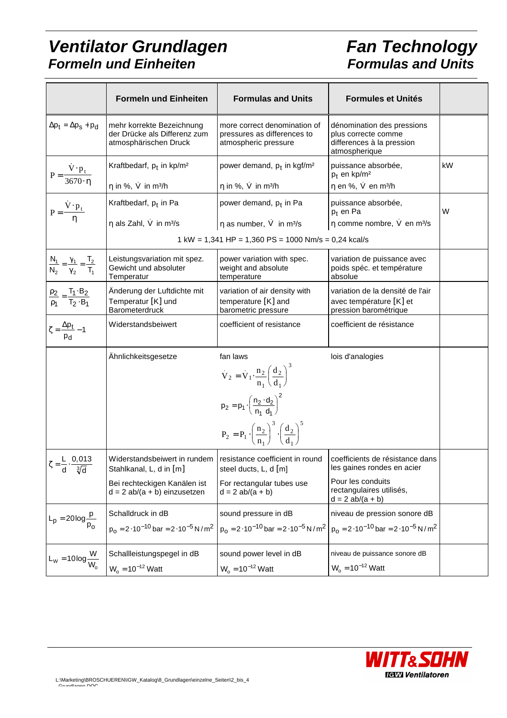## **Ventilator Grundlagen Formeln und Einheiten**

# **Fan Technology Formulas and Units**

|                                                                 | <b>Formeln und Einheiten</b>                                                              | <b>Formulas and Units</b><br><b>Formules et Unités</b>                                         |                                                                                                 |    |
|-----------------------------------------------------------------|-------------------------------------------------------------------------------------------|------------------------------------------------------------------------------------------------|-------------------------------------------------------------------------------------------------|----|
| $\Delta p_t = \Delta p_s + p_d$                                 | mehr korrekte Bezeichnung<br>der Drücke als Differenz zum<br>atmosphärischen Druck        | more correct denomination of<br>pressures as differences to<br>atmospheric pressure            | dénomination des pressions<br>plus correcte comme<br>differences à la pression<br>atmospherique |    |
| $P = \frac{V \cdot p_t}{3670 \cdot \eta}$                       | Kraftbedarf, $p_t$ in kp/m <sup>2</sup>                                                   | power demand, p <sub>t</sub> in kgf/m <sup>2</sup>                                             | puissance absorbée,<br>$p_t$ en kp/m <sup>2</sup>                                               | kW |
|                                                                 | $\eta$ in %, V in m <sup>3</sup> /h                                                       | $\eta$ in %, V in m <sup>3</sup> /h                                                            | η en %, V en m <sup>3</sup> /h                                                                  |    |
| $P = \frac{\dot{V} \cdot p_t}{\eta}$                            | Kraftbedarf, p <sub>t</sub> in Pa                                                         | power demand, p <sub>t</sub> in Pa                                                             | puissance absorbée,<br>$p_t$ en Pa                                                              | W  |
|                                                                 | $\eta$ als Zahl, V in m <sup>3</sup> /s                                                   | $\eta$ as number, $\dot{V}$ in m <sup>3</sup> /s                                               | η comme nombre, V en m <sup>3</sup> /s                                                          |    |
|                                                                 |                                                                                           | $1 \text{ kW} = 1,341 \text{ HP} = 1,360 \text{ PS} = 1000 \text{ Nm/s} = 0,24 \text{ kcal/s}$ |                                                                                                 |    |
| $\frac{N_1}{N_2} = \frac{\gamma_1}{\gamma_2} = \frac{T_2}{T_1}$ | Leistungsvariation mit spez.<br>Gewicht und absoluter<br>Temperatur                       | power variation with spec.<br>weight and absolute<br>temperature                               | variation de puissance avec<br>poids spéc. et température<br>absolue                            |    |
| $\frac{\rho_2}{\rho_1} = \frac{T_1 \cdot B_2}{T_2 \cdot B_1}$   | Änderung der Luftdichte mit<br>Temperatur [K] und<br>Barometerdruck                       | variation of air density with<br>temperature [K] and<br>barometric pressure                    | variation de la densité de l'air<br>avec température [K] et<br>pression barométrique            |    |
| $\zeta = \frac{\Delta p_t}{\sqrt{2}} - 1$<br>P <sub>d</sub>     | Widerstandsbeiwert                                                                        | coefficient of resistance                                                                      | coefficient de résistance                                                                       |    |
|                                                                 | Ähnlichkeitsgesetze                                                                       | fan laws<br>$V_2 = V_1 \cdot \frac{n_2}{n_1} \left(\frac{d_2}{d_1}\right)^3$                   | lois d'analogies                                                                                |    |
|                                                                 |                                                                                           | $p_2 = p_1 \cdot \left(\frac{n_2 \cdot d_2}{n_1 \cdot d_1}\right)^2$                           |                                                                                                 |    |
|                                                                 |                                                                                           | $P_2 = P_1 \cdot \left(\frac{n_2}{n_1}\right)^3 \cdot \left(\frac{d_2}{d_1}\right)^5$          |                                                                                                 |    |
| $\zeta = \frac{L}{d} \cdot \frac{0,013}{\sqrt[3]{d}}$           | Widerstandsbeiwert in rundem   resistance coefficient in round<br>Stahlkanal, L, d in [m] | steel ducts, L, d [m]                                                                          | coefficients de résistance dans<br>les gaines rondes en acier                                   |    |
|                                                                 | Bei rechteckigen Kanälen ist<br>$d = 2$ ab/(a + b) einzusetzen                            | For rectangular tubes use<br>$d = 2 ab/(a + b)$                                                | Pour les conduits<br>rectangulaires utilisés,<br>$d = 2$ ab/(a + b)                             |    |
| $L_p = 20 \log \frac{p}{n}$                                     | Schalldruck in dB                                                                         | sound pressure in dB                                                                           | niveau de pression sonore dB                                                                    |    |
|                                                                 | $p_0 = 2.10^{-10}$ bar = 2.10 <sup>-5</sup> N/m <sup>2</sup>                              | $p_0 = 2 \cdot 10^{-10}$ bar = 2 $\cdot 10^{-5}$ N/m <sup>2</sup>                              | $p_0 = 2.10^{-10}$ bar = 2.10 <sup>-5</sup> N/m <sup>2</sup>                                    |    |
|                                                                 | Schallleistungspegel in dB                                                                | sound power level in dB                                                                        | niveau de puissance sonore dB                                                                   |    |
| $L_{W} = 10 \log \frac{W}{W_{o}}$                               | $W_0 = 10^{-12}$ Watt                                                                     | $W_0 = 10^{-12}$ Watt                                                                          | $W_0 = 10^{-12}$ Watt                                                                           |    |